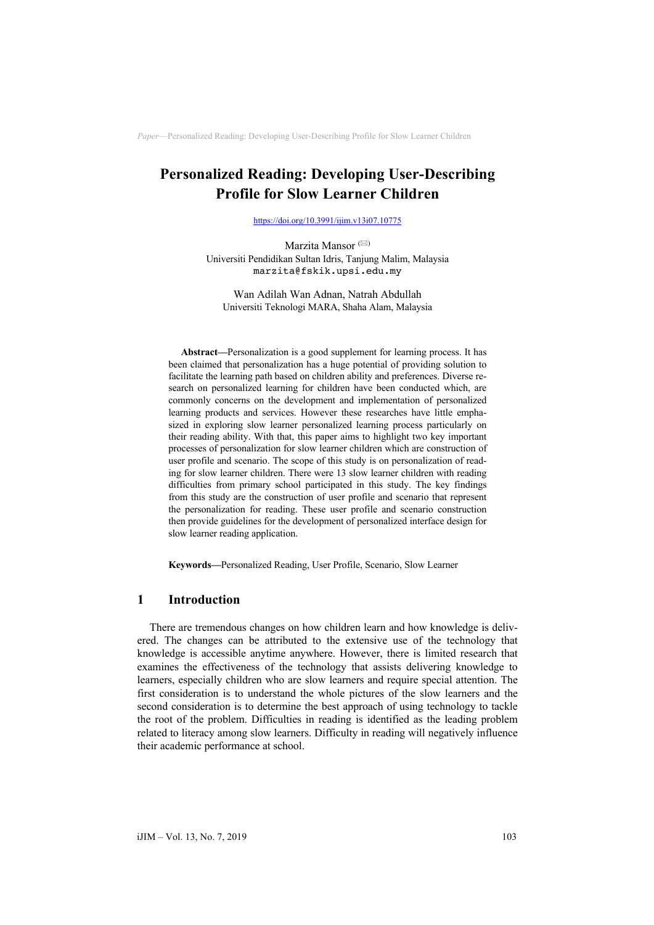# **Personalized Reading: Developing User-Describing Profile for Slow Learner Children**

https://doi.org/10.3991/ijim.v13i07.10775

[Marzita Mansor](https://doi.org/10.3991/ijim.v13i07.10775) $^{(\boxtimes)}$ [Universiti Pendidikan](https://doi.org/10.3991/ijim.v13i07.10775) Sultan Idris, Tanjung Malim, Malaysia marzita@fskik.upsi.edu.my

Wan Adilah Wan Adnan, Natrah Abdullah Universiti Teknologi MARA, Shaha Alam, Malaysia

**Abstract—**Personalization is a good supplement for learning process. It has been claimed that personalization has a huge potential of providing solution to facilitate the learning path based on children ability and preferences. Diverse research on personalized learning for children have been conducted which, are commonly concerns on the development and implementation of personalized learning products and services. However these researches have little emphasized in exploring slow learner personalized learning process particularly on their reading ability. With that, this paper aims to highlight two key important processes of personalization for slow learner children which are construction of user profile and scenario. The scope of this study is on personalization of reading for slow learner children. There were 13 slow learner children with reading difficulties from primary school participated in this study. The key findings from this study are the construction of user profile and scenario that represent the personalization for reading. These user profile and scenario construction then provide guidelines for the development of personalized interface design for slow learner reading application.

**Keywords—**Personalized Reading, User Profile, Scenario, Slow Learner

# **1 Introduction**

There are tremendous changes on how children learn and how knowledge is delivered. The changes can be attributed to the extensive use of the technology that knowledge is accessible anytime anywhere. However, there is limited research that examines the effectiveness of the technology that assists delivering knowledge to learners, especially children who are slow learners and require special attention. The first consideration is to understand the whole pictures of the slow learners and the second consideration is to determine the best approach of using technology to tackle the root of the problem. Difficulties in reading is identified as the leading problem related to literacy among slow learners. Difficulty in reading will negatively influence their academic performance at school.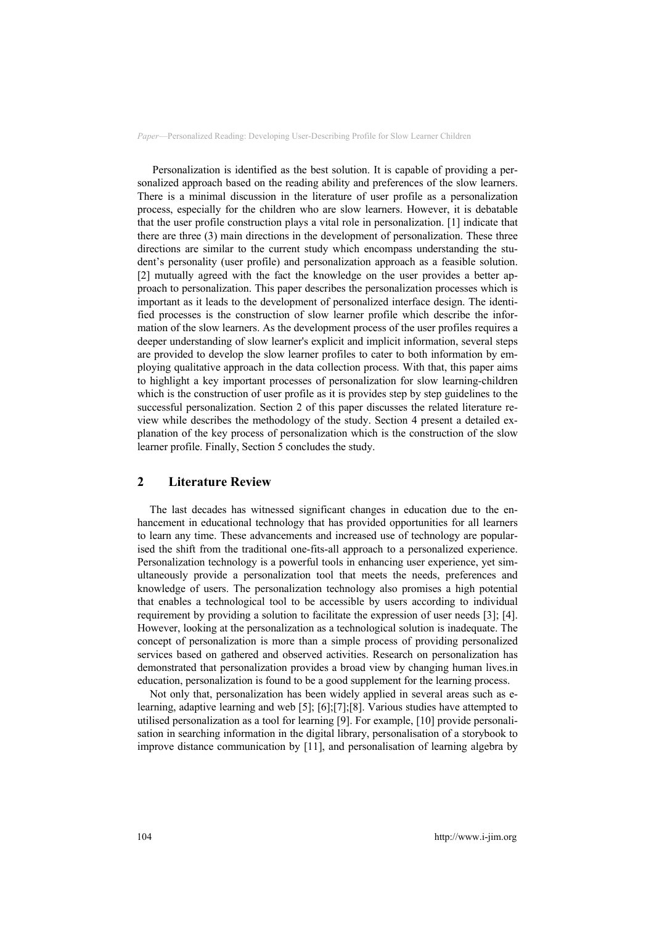Personalization is identified as the best solution. It is capable of providing a personalized approach based on the reading ability and preferences of the slow learners. There is a minimal discussion in the literature of user profile as a personalization process, especially for the children who are slow learners. However, it is debatable that the user profile construction plays a vital role in personalization. [1] indicate that there are three (3) main directions in the development of personalization. These three directions are similar to the current study which encompass understanding the student's personality (user profile) and personalization approach as a feasible solution. [2] mutually agreed with the fact the knowledge on the user provides a better approach to personalization. This paper describes the personalization processes which is important as it leads to the development of personalized interface design. The identified processes is the construction of slow learner profile which describe the information of the slow learners. As the development process of the user profiles requires a deeper understanding of slow learner's explicit and implicit information, several steps are provided to develop the slow learner profiles to cater to both information by employing qualitative approach in the data collection process. With that, this paper aims to highlight a key important processes of personalization for slow learning-children which is the construction of user profile as it is provides step by step guidelines to the successful personalization. Section 2 of this paper discusses the related literature review while describes the methodology of the study. Section 4 present a detailed explanation of the key process of personalization which is the construction of the slow learner profile. Finally, Section 5 concludes the study.

# **2 Literature Review**

The last decades has witnessed significant changes in education due to the enhancement in educational technology that has provided opportunities for all learners to learn any time. These advancements and increased use of technology are popularised the shift from the traditional one-fits-all approach to a personalized experience. Personalization technology is a powerful tools in enhancing user experience, yet simultaneously provide a personalization tool that meets the needs, preferences and knowledge of users. The personalization technology also promises a high potential that enables a technological tool to be accessible by users according to individual requirement by providing a solution to facilitate the expression of user needs [3]; [4]. However, looking at the personalization as a technological solution is inadequate. The concept of personalization is more than a simple process of providing personalized services based on gathered and observed activities. Research on personalization has demonstrated that personalization provides a broad view by changing human lives.in education, personalization is found to be a good supplement for the learning process.

Not only that, personalization has been widely applied in several areas such as elearning, adaptive learning and web [5]; [6];[7];[8]. Various studies have attempted to utilised personalization as a tool for learning [9]. For example, [10] provide personalisation in searching information in the digital library, personalisation of a storybook to improve distance communication by [11], and personalisation of learning algebra by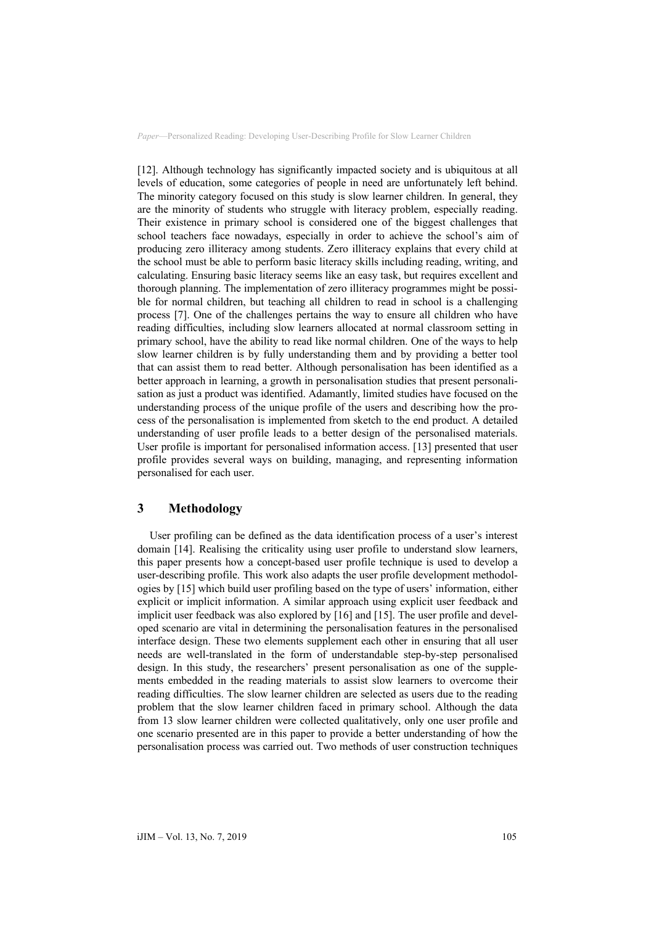[12]. Although technology has significantly impacted society and is ubiquitous at all levels of education, some categories of people in need are unfortunately left behind. The minority category focused on this study is slow learner children. In general, they are the minority of students who struggle with literacy problem, especially reading. Their existence in primary school is considered one of the biggest challenges that school teachers face nowadays, especially in order to achieve the school's aim of producing zero illiteracy among students. Zero illiteracy explains that every child at the school must be able to perform basic literacy skills including reading, writing, and calculating. Ensuring basic literacy seems like an easy task, but requires excellent and thorough planning. The implementation of zero illiteracy programmes might be possible for normal children, but teaching all children to read in school is a challenging process [7]. One of the challenges pertains the way to ensure all children who have reading difficulties, including slow learners allocated at normal classroom setting in primary school, have the ability to read like normal children. One of the ways to help slow learner children is by fully understanding them and by providing a better tool that can assist them to read better. Although personalisation has been identified as a better approach in learning, a growth in personalisation studies that present personalisation as just a product was identified. Adamantly, limited studies have focused on the understanding process of the unique profile of the users and describing how the process of the personalisation is implemented from sketch to the end product. A detailed understanding of user profile leads to a better design of the personalised materials. User profile is important for personalised information access. [13] presented that user profile provides several ways on building, managing, and representing information personalised for each user.

## **3 Methodology**

User profiling can be defined as the data identification process of a user's interest domain [14]. Realising the criticality using user profile to understand slow learners, this paper presents how a concept-based user profile technique is used to develop a user-describing profile. This work also adapts the user profile development methodologies by [15] which build user profiling based on the type of users' information, either explicit or implicit information. A similar approach using explicit user feedback and implicit user feedback was also explored by [16] and [15]. The user profile and developed scenario are vital in determining the personalisation features in the personalised interface design. These two elements supplement each other in ensuring that all user needs are well-translated in the form of understandable step-by-step personalised design. In this study, the researchers' present personalisation as one of the supplements embedded in the reading materials to assist slow learners to overcome their reading difficulties. The slow learner children are selected as users due to the reading problem that the slow learner children faced in primary school. Although the data from 13 slow learner children were collected qualitatively, only one user profile and one scenario presented are in this paper to provide a better understanding of how the personalisation process was carried out. Two methods of user construction techniques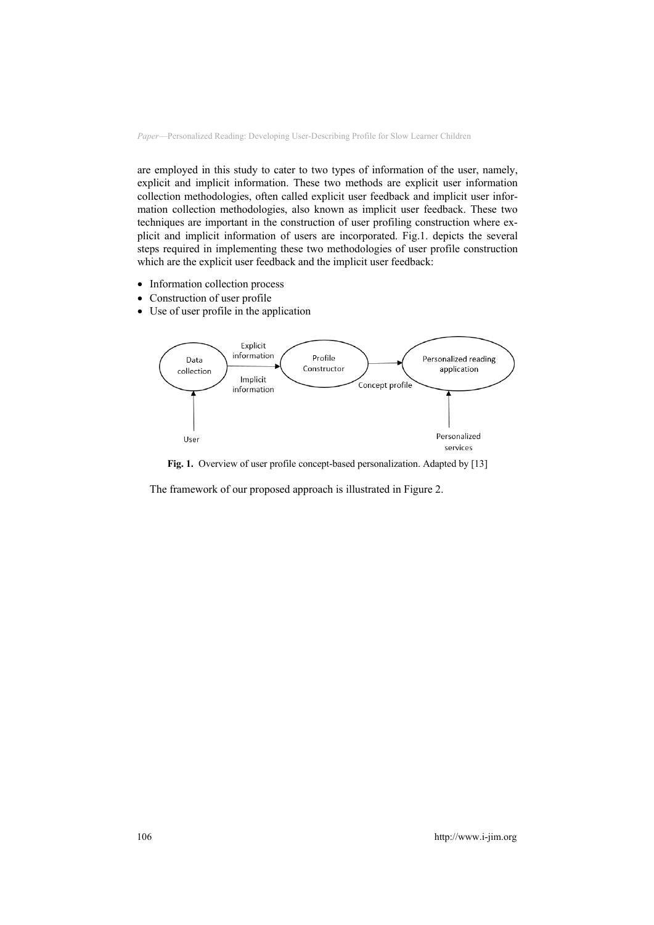are employed in this study to cater to two types of information of the user, namely, explicit and implicit information. These two methods are explicit user information collection methodologies, often called explicit user feedback and implicit user information collection methodologies, also known as implicit user feedback. These two techniques are important in the construction of user profiling construction where explicit and implicit information of users are incorporated. Fig.1. depicts the several steps required in implementing these two methodologies of user profile construction which are the explicit user feedback and the implicit user feedback:

- Information collection process
- Construction of user profile
- Use of user profile in the application



Fig. 1. Overview of user profile concept-based personalization. Adapted by [13]

The framework of our proposed approach is illustrated in Figure 2.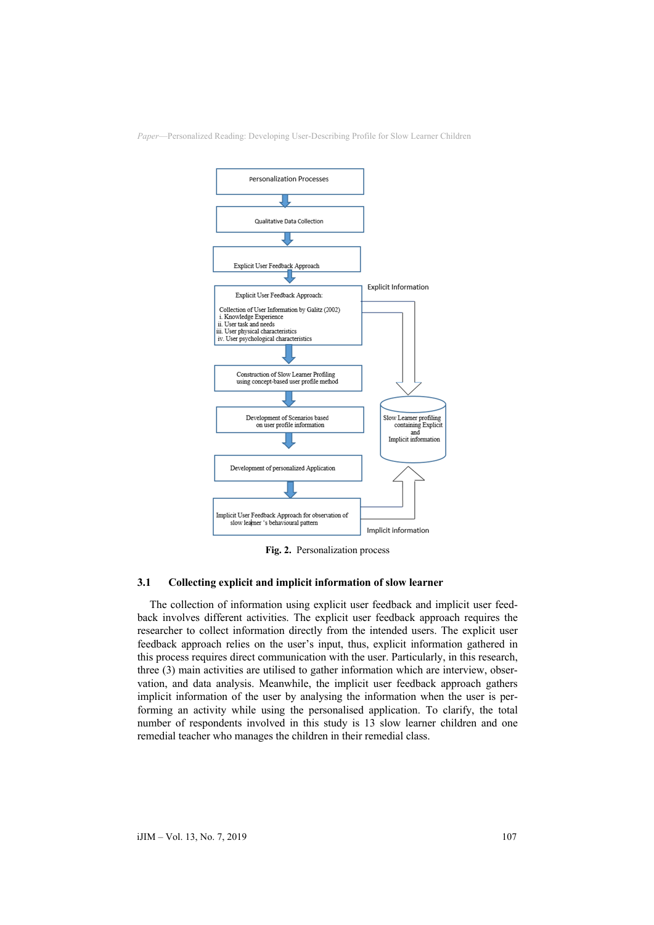

**Fig. 2.** Personalization process

## **3.1 Collecting explicit and implicit information of slow learner**

The collection of information using explicit user feedback and implicit user feedback involves different activities. The explicit user feedback approach requires the researcher to collect information directly from the intended users. The explicit user feedback approach relies on the user's input, thus, explicit information gathered in this process requires direct communication with the user. Particularly, in this research, three (3) main activities are utilised to gather information which are interview, observation, and data analysis. Meanwhile, the implicit user feedback approach gathers implicit information of the user by analysing the information when the user is performing an activity while using the personalised application. To clarify, the total number of respondents involved in this study is 13 slow learner children and one remedial teacher who manages the children in their remedial class.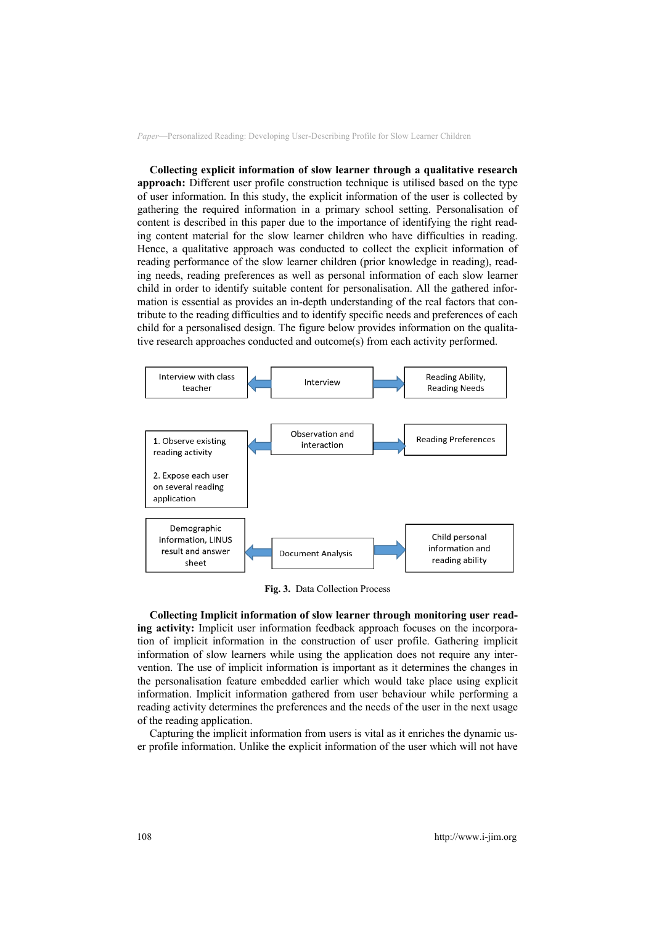**Collecting explicit information of slow learner through a qualitative research approach:** Different user profile construction technique is utilised based on the type of user information. In this study, the explicit information of the user is collected by gathering the required information in a primary school setting. Personalisation of content is described in this paper due to the importance of identifying the right reading content material for the slow learner children who have difficulties in reading. Hence, a qualitative approach was conducted to collect the explicit information of reading performance of the slow learner children (prior knowledge in reading), reading needs, reading preferences as well as personal information of each slow learner child in order to identify suitable content for personalisation. All the gathered information is essential as provides an in-depth understanding of the real factors that contribute to the reading difficulties and to identify specific needs and preferences of each child for a personalised design. The figure below provides information on the qualitative research approaches conducted and outcome(s) from each activity performed.



**Fig. 3.** Data Collection Process

**Collecting Implicit information of slow learner through monitoring user reading activity:** Implicit user information feedback approach focuses on the incorporation of implicit information in the construction of user profile. Gathering implicit information of slow learners while using the application does not require any intervention. The use of implicit information is important as it determines the changes in the personalisation feature embedded earlier which would take place using explicit information. Implicit information gathered from user behaviour while performing a reading activity determines the preferences and the needs of the user in the next usage of the reading application.

Capturing the implicit information from users is vital as it enriches the dynamic user profile information. Unlike the explicit information of the user which will not have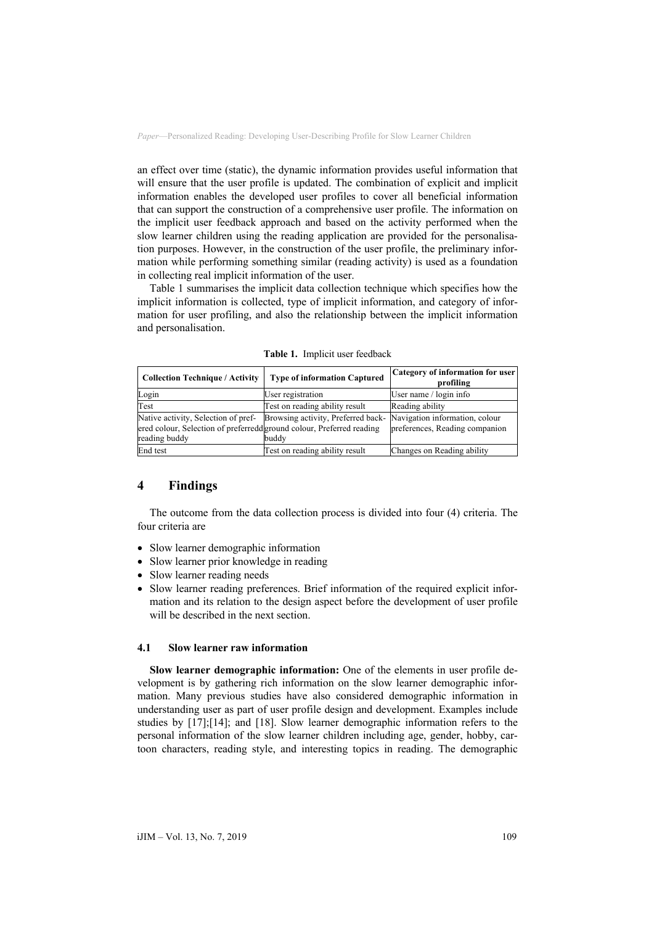an effect over time (static), the dynamic information provides useful information that will ensure that the user profile is updated. The combination of explicit and implicit information enables the developed user profiles to cover all beneficial information that can support the construction of a comprehensive user profile. The information on the implicit user feedback approach and based on the activity performed when the slow learner children using the reading application are provided for the personalisation purposes. However, in the construction of the user profile, the preliminary information while performing something similar (reading activity) is used as a foundation in collecting real implicit information of the user.

Table 1 summarises the implicit data collection technique which specifies how the implicit information is collected, type of implicit information, and category of information for user profiling, and also the relationship between the implicit information and personalisation.

| <b>Collection Technique / Activity</b>                                | <b>Type of information Captured</b>                               | Category of information for user<br>profiling |
|-----------------------------------------------------------------------|-------------------------------------------------------------------|-----------------------------------------------|
| Login                                                                 | User registration                                                 | User name / login info                        |
| Test                                                                  | Test on reading ability result                                    | Reading ability                               |
| Native activity, Selection of pref-                                   | Browsing activity, Preferred back- Navigation information, colour |                                               |
| ered colour, Selection of preferredd ground colour, Preferred reading |                                                                   | preferences, Reading companion                |
| reading buddy                                                         | buddy                                                             |                                               |
| End test                                                              | Test on reading ability result                                    | Changes on Reading ability                    |

**Table 1.** Implicit user feedback

### **4 Findings**

The outcome from the data collection process is divided into four (4) criteria. The four criteria are

- Slow learner demographic information
- Slow learner prior knowledge in reading
- Slow learner reading needs
- Slow learner reading preferences. Brief information of the required explicit information and its relation to the design aspect before the development of user profile will be described in the next section.

#### **4.1 Slow learner raw information**

**Slow learner demographic information:** One of the elements in user profile development is by gathering rich information on the slow learner demographic information. Many previous studies have also considered demographic information in understanding user as part of user profile design and development. Examples include studies by [17];[14]; and [18]. Slow learner demographic information refers to the personal information of the slow learner children including age, gender, hobby, cartoon characters, reading style, and interesting topics in reading. The demographic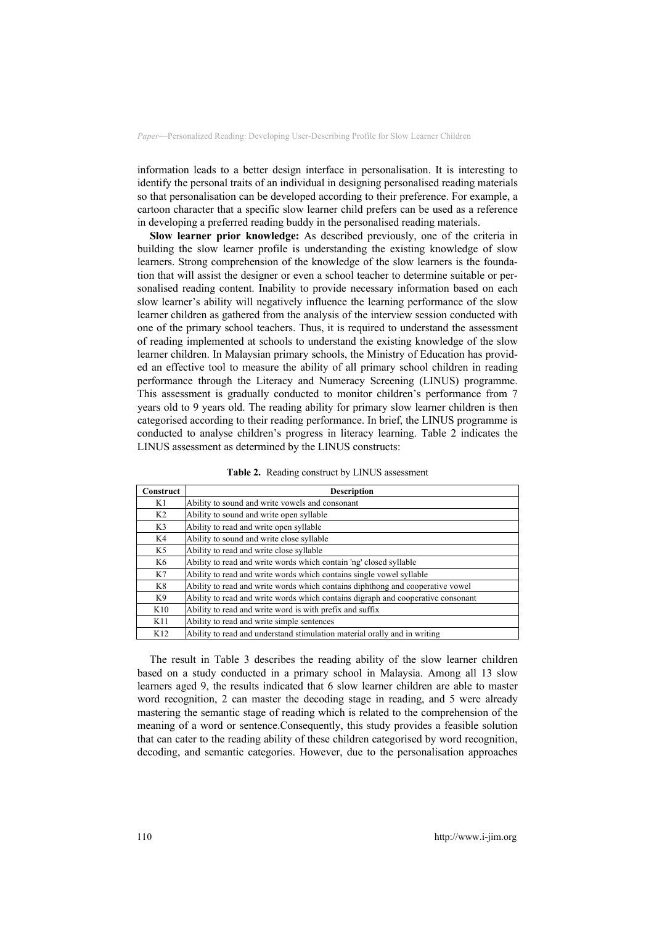information leads to a better design interface in personalisation. It is interesting to identify the personal traits of an individual in designing personalised reading materials so that personalisation can be developed according to their preference. For example, a cartoon character that a specific slow learner child prefers can be used as a reference in developing a preferred reading buddy in the personalised reading materials.

**Slow learner prior knowledge:** As described previously, one of the criteria in building the slow learner profile is understanding the existing knowledge of slow learners. Strong comprehension of the knowledge of the slow learners is the foundation that will assist the designer or even a school teacher to determine suitable or personalised reading content. Inability to provide necessary information based on each slow learner's ability will negatively influence the learning performance of the slow learner children as gathered from the analysis of the interview session conducted with one of the primary school teachers. Thus, it is required to understand the assessment of reading implemented at schools to understand the existing knowledge of the slow learner children. In Malaysian primary schools, the Ministry of Education has provided an effective tool to measure the ability of all primary school children in reading performance through the Literacy and Numeracy Screening (LINUS) programme. This assessment is gradually conducted to monitor children's performance from 7 years old to 9 years old. The reading ability for primary slow learner children is then categorised according to their reading performance. In brief, the LINUS programme is conducted to analyse children's progress in literacy learning. Table 2 indicates the LINUS assessment as determined by the LINUS constructs:

| Construct      | <b>Description</b>                                                               |
|----------------|----------------------------------------------------------------------------------|
| K1             | Ability to sound and write vowels and consonant                                  |
| K2             | Ability to sound and write open syllable                                         |
| K <sub>3</sub> | Ability to read and write open syllable                                          |
| K4             | Ability to sound and write close syllable                                        |
| K <sub>5</sub> | Ability to read and write close syllable                                         |
| K6             | Ability to read and write words which contain 'ng' closed syllable               |
| K7             | Ability to read and write words which contains single vowel syllable             |
| K8             | Ability to read and write words which contains diphthong and cooperative vowel   |
| K9             | Ability to read and write words which contains digraph and cooperative consonant |
| K10            | Ability to read and write word is with prefix and suffix                         |
| K11            | Ability to read and write simple sentences                                       |
| K12            | Ability to read and understand stimulation material orally and in writing        |

**Table 2.** Reading construct by LINUS assessment

The result in Table 3 describes the reading ability of the slow learner children based on a study conducted in a primary school in Malaysia. Among all 13 slow learners aged 9, the results indicated that 6 slow learner children are able to master word recognition, 2 can master the decoding stage in reading, and 5 were already mastering the semantic stage of reading which is related to the comprehension of the meaning of a word or sentence.Consequently, this study provides a feasible solution that can cater to the reading ability of these children categorised by word recognition, decoding, and semantic categories. However, due to the personalisation approaches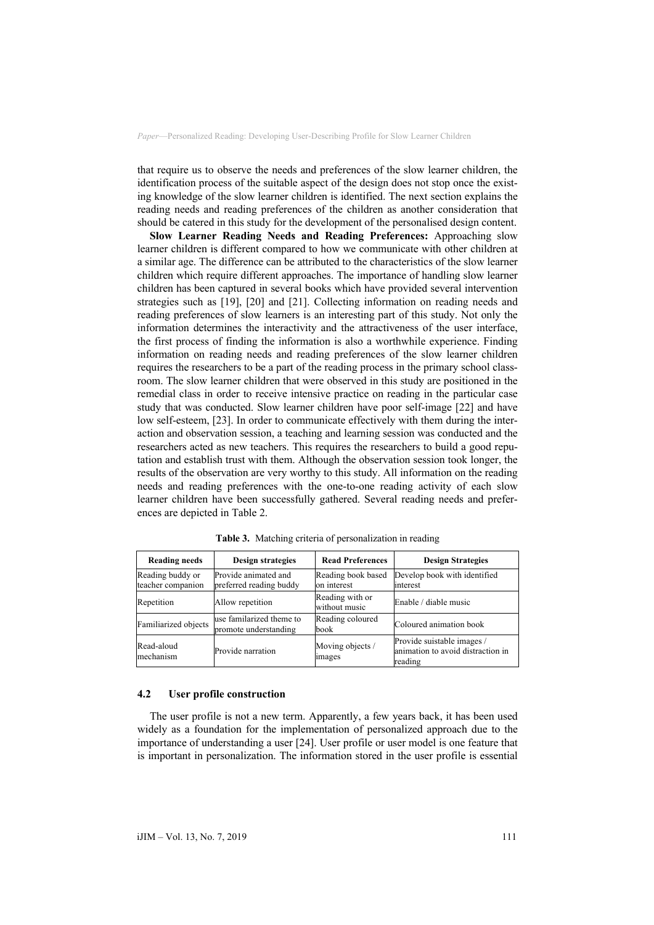that require us to observe the needs and preferences of the slow learner children, the identification process of the suitable aspect of the design does not stop once the existing knowledge of the slow learner children is identified. The next section explains the reading needs and reading preferences of the children as another consideration that should be catered in this study for the development of the personalised design content.

**Slow Learner Reading Needs and Reading Preferences:** Approaching slow learner children is different compared to how we communicate with other children at a similar age. The difference can be attributed to the characteristics of the slow learner children which require different approaches. The importance of handling slow learner children has been captured in several books which have provided several intervention strategies such as [19], [20] and [21]. Collecting information on reading needs and reading preferences of slow learners is an interesting part of this study. Not only the information determines the interactivity and the attractiveness of the user interface, the first process of finding the information is also a worthwhile experience. Finding information on reading needs and reading preferences of the slow learner children requires the researchers to be a part of the reading process in the primary school classroom. The slow learner children that were observed in this study are positioned in the remedial class in order to receive intensive practice on reading in the particular case study that was conducted. Slow learner children have poor self-image [22] and have low self-esteem, [23]. In order to communicate effectively with them during the interaction and observation session, a teaching and learning session was conducted and the researchers acted as new teachers. This requires the researchers to build a good reputation and establish trust with them. Although the observation session took longer, the results of the observation are very worthy to this study. All information on the reading needs and reading preferences with the one-to-one reading activity of each slow learner children have been successfully gathered. Several reading needs and preferences are depicted in Table 2.

| <b>Reading needs</b>                  | <b>Design strategies</b>                          | <b>Read Preferences</b>           | <b>Design Strategies</b>                                                   |
|---------------------------------------|---------------------------------------------------|-----------------------------------|----------------------------------------------------------------------------|
| Reading buddy or<br>teacher companion | Provide animated and<br>preferred reading buddy   | Reading book based<br>on interest | Develop book with identified<br>interest                                   |
| Repetition                            | Allow repetition                                  | Reading with or<br>without music  | Enable / diable music                                                      |
| Familiarized objects                  | use familarized theme to<br>promote understanding | Reading coloured<br>book          | Coloured animation book                                                    |
| Read-aloud<br>mechanism               | Provide narration                                 | Moving objects /<br>images        | Provide suistable images /<br>animation to avoid distraction in<br>reading |

**Table 3.** Matching criteria of personalization in reading

#### **4.2 User profile construction**

The user profile is not a new term. Apparently, a few years back, it has been used widely as a foundation for the implementation of personalized approach due to the importance of understanding a user [24]. User profile or user model is one feature that is important in personalization. The information stored in the user profile is essential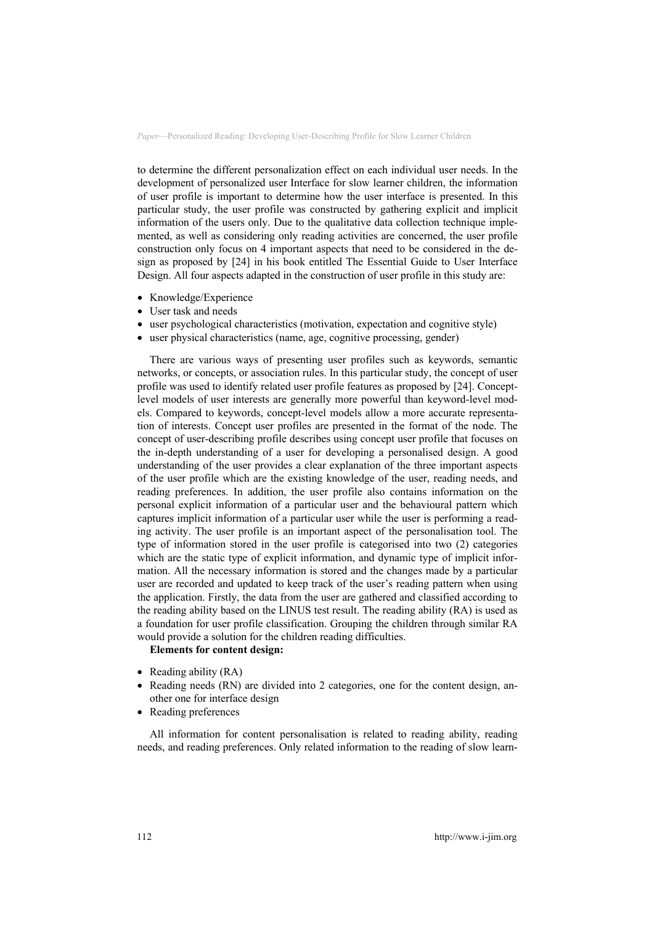to determine the different personalization effect on each individual user needs. In the development of personalized user Interface for slow learner children, the information of user profile is important to determine how the user interface is presented. In this particular study, the user profile was constructed by gathering explicit and implicit information of the users only. Due to the qualitative data collection technique implemented, as well as considering only reading activities are concerned, the user profile construction only focus on 4 important aspects that need to be considered in the design as proposed by [24] in his book entitled The Essential Guide to User Interface Design. All four aspects adapted in the construction of user profile in this study are:

- Knowledge/Experience
- User task and needs
- user psychological characteristics (motivation, expectation and cognitive style)
- user physical characteristics (name, age, cognitive processing, gender)

There are various ways of presenting user profiles such as keywords, semantic networks, or concepts, or association rules. In this particular study, the concept of user profile was used to identify related user profile features as proposed by [24]. Conceptlevel models of user interests are generally more powerful than keyword-level models. Compared to keywords, concept-level models allow a more accurate representation of interests. Concept user profiles are presented in the format of the node. The concept of user-describing profile describes using concept user profile that focuses on the in-depth understanding of a user for developing a personalised design. A good understanding of the user provides a clear explanation of the three important aspects of the user profile which are the existing knowledge of the user, reading needs, and reading preferences. In addition, the user profile also contains information on the personal explicit information of a particular user and the behavioural pattern which captures implicit information of a particular user while the user is performing a reading activity. The user profile is an important aspect of the personalisation tool. The type of information stored in the user profile is categorised into two (2) categories which are the static type of explicit information, and dynamic type of implicit information. All the necessary information is stored and the changes made by a particular user are recorded and updated to keep track of the user's reading pattern when using the application. Firstly, the data from the user are gathered and classified according to the reading ability based on the LINUS test result. The reading ability (RA) is used as a foundation for user profile classification. Grouping the children through similar RA would provide a solution for the children reading difficulties.

### **Elements for content design:**

- Reading ability (RA)
- Reading needs (RN) are divided into 2 categories, one for the content design, another one for interface design
- Reading preferences

All information for content personalisation is related to reading ability, reading needs, and reading preferences. Only related information to the reading of slow learn-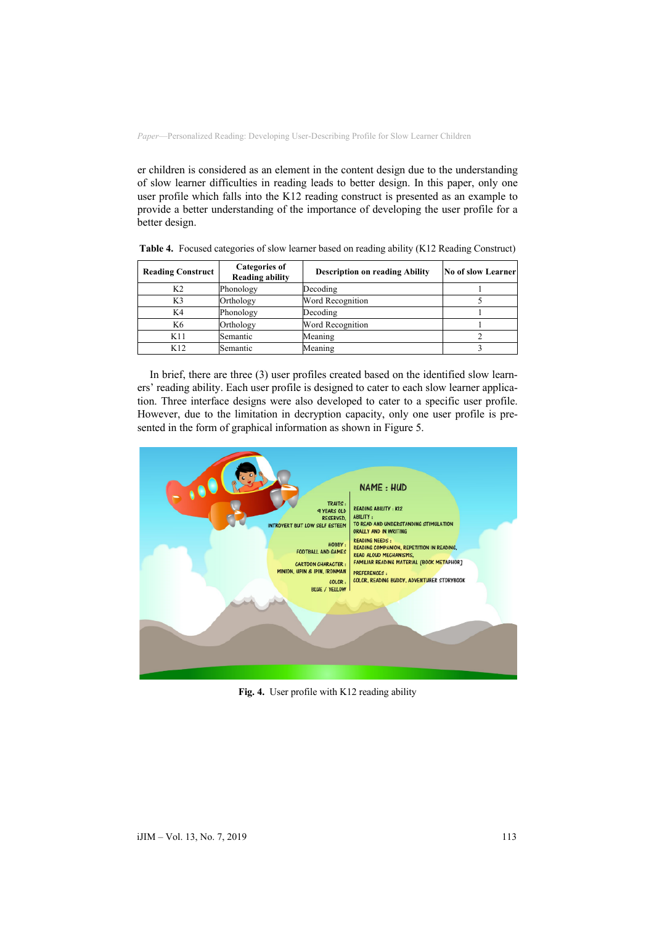er children is considered as an element in the content design due to the understanding of slow learner difficulties in reading leads to better design. In this paper, only one user profile which falls into the K12 reading construct is presented as an example to provide a better understanding of the importance of developing the user profile for a better design.

| <b>Reading Construct</b> | <b>Categories of</b><br><b>Reading ability</b> | <b>Description on reading Ability</b> | <b>No of slow Learner</b> |
|--------------------------|------------------------------------------------|---------------------------------------|---------------------------|
| K2                       | Phonology                                      | Decoding                              |                           |
| K <sub>3</sub>           | Orthology                                      | Word Recognition                      |                           |
| K4                       | Phonology                                      | Decoding                              |                           |
| K6                       | Orthology                                      | Word Recognition                      |                           |
| K11                      | Semantic                                       | Meaning                               |                           |
| K12                      | Semantic                                       | Meaning                               |                           |

**Table 4.** Focused categories of slow learner based on reading ability (K12 Reading Construct)

In brief, there are three (3) user profiles created based on the identified slow learners' reading ability. Each user profile is designed to cater to each slow learner application. Three interface designs were also developed to cater to a specific user profile. However, due to the limitation in decryption capacity, only one user profile is presented in the form of graphical information as shown in Figure 5.



**Fig. 4.** User profile with K12 reading ability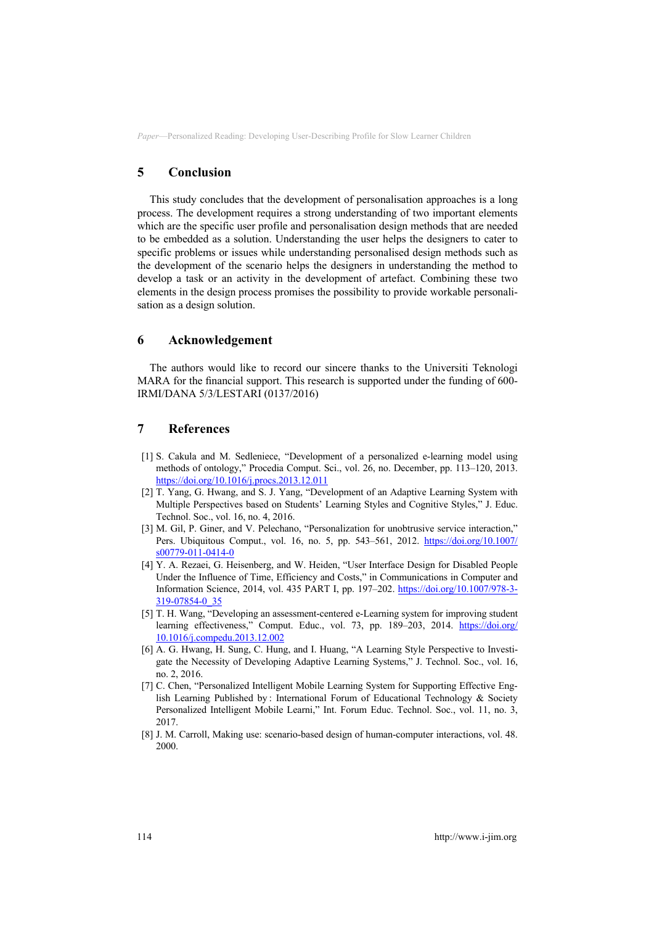# **5 Conclusion**

This study concludes that the development of personalisation approaches is a long process. The development requires a strong understanding of two important elements which are the specific user profile and personalisation design methods that are needed to be embedded as a solution. Understanding the user helps the designers to cater to specific problems or issues while understanding personalised design methods such as the development of the scenario helps the designers in understanding the method to develop a task or an activity in the development of artefact. Combining these two elements in the design process promises the possibility to provide workable personalisation as a design solution.

## **6 Acknowledgement**

The authors would like to record our sincere thanks to the Universiti Teknologi MARA for the financial support. This research is supported under the funding of 600- IRMI/DANA 5/3/LESTARI (0137/2016)

# **7 References**

- [1] S. Cakula and M. Sedleniece, "Development of a personalized e-learning model using methods of ontology," Procedia Comput. Sci., vol. 26, no. December, pp. 113–120, 2013. https://doi.org/10.1016/j.procs.2013.12.011
- [2] [T. Yang, G. Hwang, and S. J. Yang, "Develo](https://doi.org/10.1016/j.procs.2013.12.011)pment of an Adaptive Learning System with Multiple Perspectives based on Students' Learning Styles and Cognitive Styles," J. Educ. Technol. Soc., vol. 16, no. 4, 2016.
- [3] M. Gil, P. Giner, and V. Pelechano, "Personalization for unobtrusive service interaction," Pers. Ubiquitous Comput., vol. 16, no. 5, pp. 543–561, 2012. https://doi.org/10.1007/ s00779-011-0414-0
- [4] [Y. A. Rezaei, G. Heisenberg, and W. Heide](https://doi.org/10.1007/s00779-011-0414-0)n, "User Interface Design for Disabled People Under the Influence of Time, Efficiency and Costs," in Communications in Computer and Information Science, 2014, vol. 435 PART I, pp. 197–202. https://doi.org/10.1007/978-3- 319-07854-0\_35
- [5] [T. H. Wang, "Developing an assessment-cente](https://doi.org/10.1007/978-3-319-07854-0_35)red e-Learning system for improving student learning effectiveness," Comput. Educ., vol. 73, pp. 189–203, 2014. https://doi.org/ 10.1016/j.compedu.2013.12.002
- [6] [A. G. Hwang, H. Sung, C. Hung, and I. Huang,](https://doi.org/10.1016/j.compedu.2013.12.002) "A Learning Style Perspective to Investigate the Necessity of Developing Adaptive Learning Systems," J. Technol. Soc., vol. 16, no. 2, 2016.
- [7] C. Chen, "Personalized Intelligent Mobile Learning System for Supporting Effective English Learning Published by : International Forum of Educational Technology & Society Personalized Intelligent Mobile Learni," Int. Forum Educ. Technol. Soc., vol. 11, no. 3, 2017.
- [8] J. M. Carroll, Making use: scenario-based design of human-computer interactions, vol. 48. 2000.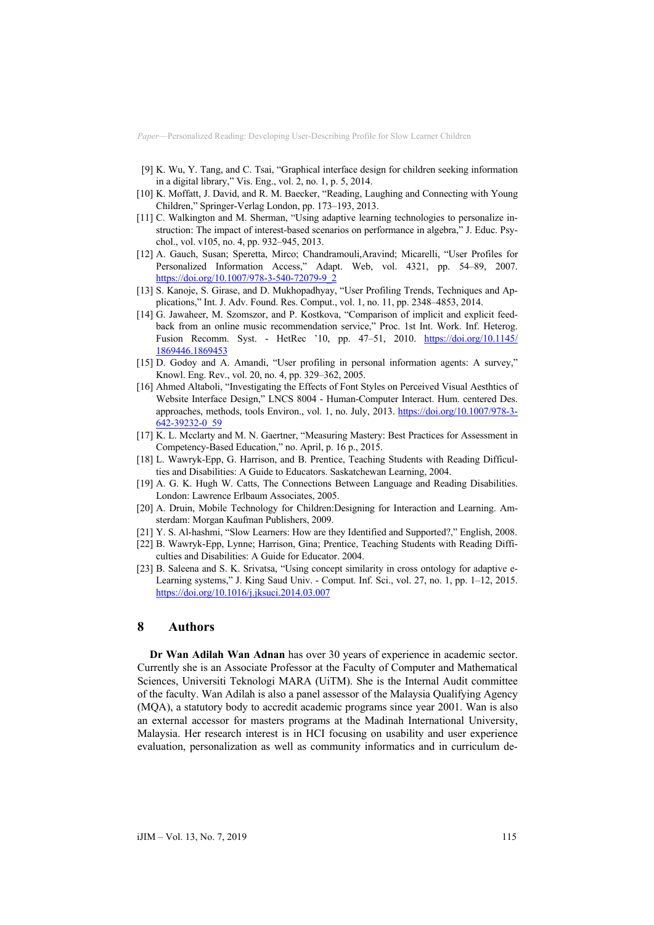- [9] K. Wu, Y. Tang, and C. Tsai, "Graphical interface design for children seeking information in a digital library," Vis. Eng., vol. 2, no. 1, p. 5, 2014.
- [10] K. Moffatt, J. David, and R. M. Baecker, "Reading, Laughing and Connecting with Young Children," Springer-Verlag London, pp. 173–193, 2013.
- [11] C. Walkington and M. Sherman, "Using adaptive learning technologies to personalize instruction: The impact of interest-based scenarios on performance in algebra," J. Educ. Psychol., vol. v105, no. 4, pp. 932–945, 2013.
- [12] A. Gauch, Susan; Speretta, Mirco; Chandramouli,Aravind; Micarelli, "User Profiles for Personalized Information Access," Adapt. Web, vol. 4321, pp. 54–89, 2007. https://doi.org/10.1007/978-3-540-72079-9\_2
- [13] [S. Kanoje, S. Girase, and D. Mukhopadhyay,](https://doi.org/10.1007/978-3-540-72079-9_2) "User Profiling Trends, Techniques and Applications," Int. J. Adv. Found. Res. Comput., vol. 1, no. 11, pp. 2348–4853, 2014.
- [14] G. Jawaheer, M. Szomszor, and P. Kostkova, "Comparison of implicit and explicit feedback from an online music recommendation service," Proc. 1st Int. Work. Inf. Heterog. Fusion Recomm. Syst. - HetRec '10, pp. 47–51, 2010. https://doi.org/10.1145/ 1869446.1869453
- [15] [D. Godoy and A. Amandi, "User profiling](https://doi.org/10.1145/1869446.1869453) in personal information agents: A survey," Knowl. Eng. Rev., vol. 20, no. 4, pp. 329–362, 2005.
- [16] Ahmed Altaboli, "Investigating the Effects of Font Styles on Perceived Visual Aesthtics of Website Interface Design," LNCS 8004 - Human-Computer Interact. Hum. centered Des. approaches, methods, tools Environ., vol. 1, no. July, 2013. https://doi.org/10.1007/978-3-642-39232-0\_59
- [17] [K. L. Mcclarty and M. N. Gaertner, "Measuri](https://doi.org/10.1007/978-3-642-39232-0_59)ng Mastery: Best Practices for Assessment in Competency-Based Education," no. April, p. 16 p., 2015.
- [18] L. Wawryk-Epp, G. Harrison, and B. Prentice, Teaching Students with Reading Difficulties and Disabilities: A Guide to Educators. Saskatchewan Learning, 2004.
- [19] A. G. K. Hugh W. Catts, The Connections Between Language and Reading Disabilities. London: Lawrence Erlbaum Associates, 2005.
- [20] A. Druin, Mobile Technology for Children:Designing for Interaction and Learning. Amsterdam: Morgan Kaufman Publishers, 2009.
- [21] Y. S. Al-hashmi, "Slow Learners: How are they Identified and Supported?," English, 2008.
- [22] B. Wawryk-Epp, Lynne; Harrison, Gina; Prentice, Teaching Students with Reading Difficulties and Disabilities: A Guide for Educator. 2004.
- [23] B. Saleena and S. K. Srivatsa, "Using concept similarity in cross ontology for adaptive e-Learning systems," J. King Saud Univ. - Comput. Inf. Sci., vol. 27, no. 1, pp. 1–12, 2015. https://doi.org/10.1016/j.jksuci.2014.03.007

# **8 [Authors](https://doi.org/10.1016/j.jksuci.2014.03.007)**

**[Dr Wan Adilah Wan Adnan](https://doi.org/10.1016/j.jksuci.2014.03.007)** has over 30 years of experience in academic sector. Currently she is an Associate Professor at the Faculty of Computer and Mathematical Sciences, Universiti Teknologi MARA (UiTM). She is the Internal Audit committee of the faculty. Wan Adilah is also a panel assessor of the Malaysia Qualifying Agency (MQA), a statutory body to accredit academic programs since year 2001. Wan is also an external accessor for masters programs at the Madinah International University, Malaysia. Her research interest is in HCI focusing on usability and user experience evaluation, personalization as well as community informatics and in curriculum de-